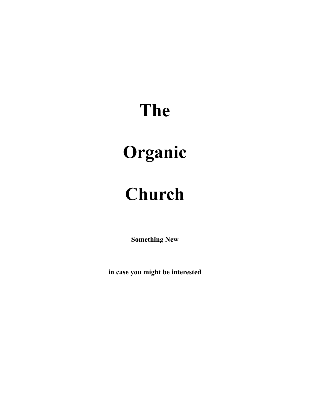# **The**

# **Organic**

# **Church**

**Something New** 

**in case you might be interested**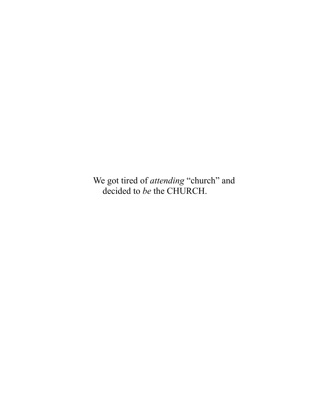We got tired of *attending* "church" and decided to *be* the CHURCH.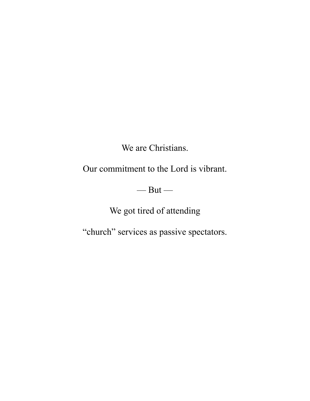We are Christians.

Our commitment to the Lord is vibrant.

 $-\mathsf{But}-$ 

We got tired of attending

"church" services as passive spectators.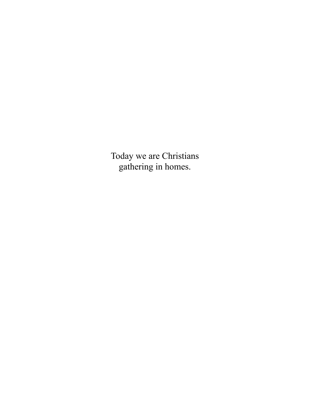Today we are Christians gathering in homes.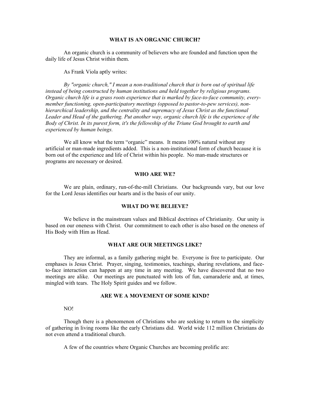## **WHAT IS AN ORGANIC CHURCH?**

An organic church is a community of believers who are founded and function upon the daily life of Jesus Christ within them.

As Frank Viola aptly writes:

*By "organic church," I mean a non-traditional church that is born out of spiritual life instead of being constructed by human institutions and held together by religious programs. Organic church life is a grass roots experience that is marked by face-to-face community, everymember functioning, open-participatory meetings (opposed to pastor-to-pew services), nonhierarchical leadership, and the centrality and supremacy of Jesus Christ as the functional*  Leader and Head of the gathering. Put another way, organic church life is the experience of the *Body of Christ. In its purest form, it's the fellowship of the Triune God brought to earth and experienced by human beings.* 

We all know what the term "organic" means. It means 100% natural without any artificial or man-made ingredients added. This is a non-institutional form of church because it is born out of the experience and life of Christ within his people. No man-made structures or programs are necessary or desired.

#### **WHO ARE WE?**

 We are plain, ordinary, run-of-the-mill Christians. Our backgrounds vary, but our love for the Lord Jesus identifies our hearts and is the basis of our unity.

#### **WHAT DO WE BELIEVE?**

 We believe in the mainstream values and Biblical doctrines of Christianity. Our unity is based on our oneness with Christ. Our commitment to each other is also based on the oneness of His Body with Him as Head.

#### **WHAT ARE OUR MEETINGS LIKE?**

 They are informal, as a family gathering might be. Everyone is free to participate. Our emphases is Jesus Christ. Prayer, singing, testimonies, teachings, sharing revelations, and faceto-face interaction can happen at any time in any meeting. We have discovered that no two meetings are alike. Our meetings are punctuated with lots of fun, camaraderie and, at times, mingled with tears. The Holy Spirit guides and we follow.

#### **ARE WE A MOVEMENT OF SOME KIND?**

#### NO!

 Though there is a phenomenon of Christians who are seeking to return to the simplicity of gathering in living rooms like the early Christians did. World wide 112 million Christians do not even attend a traditional church.

A few of the countries where Organic Churches are becoming prolific are: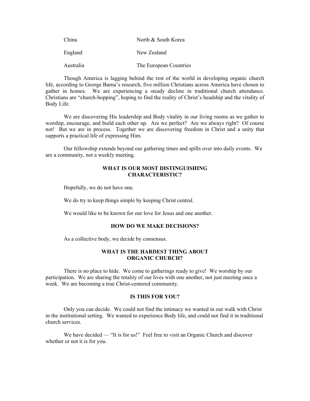| China     | North & South Korea    |
|-----------|------------------------|
| England   | New Zealand            |
| Australia | The European Countries |

 Though America is lagging behind the rest of the world in developing organic church life, according to George Barna's research, five million Christians across America have chosen to gather in homes. We are experiencing a steady decline in traditional church attendance. Christians are "church-hopping", hoping to find the reality of Christ's headship and the vitality of Body Life.

 We are discovering His leadership and Body vitality in our living rooms as we gather to worship, encourage, and build each other up. Are we perfect? Are we always right? Of course not! But we are in process. Together we are discovering freedom in Christ and a unity that supports a practical life of expressing Him.

 Our fellowship extends beyond our gathering times and spills over into daily events. We are a community, not a weekly meeting.

### **WHAT IS OUR MOST DISTINGUISHING CHARACTERISTIC?**

Hopefully, we do not have one.

We do try to keep things simple by keeping Christ central.

We would like to be known for our love for Jesus and one another.

#### **HOW DO WE MAKE DECISIONS?**

As a collective body, we decide by consensus.

#### **WHAT IS THE HARDEST THING ABOUT ORGANIC CHURCH?**

 There is no place to hide. We come to gatherings ready to give! We worship by our participation. We are sharing the totality of our lives with one another, not just meeting once a week. We are becoming a true Christ-centered community.

### **IS THIS FOR YOU?**

 Only you can decide. We could not find the intimacy we wanted in our walk with Christ in the institutional setting. We wanted to experience Body life, and could not find it in traditional church services.

We have decided — "It is for us!" Feel free to visit an Organic Church and discover whether or not it is for you.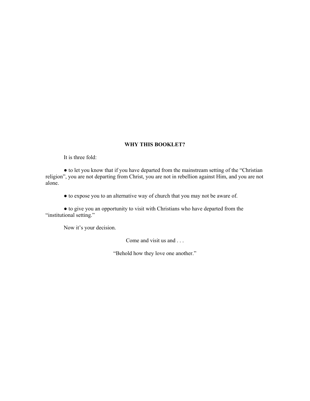## **WHY THIS BOOKLET?**

It is three fold:

● to let you know that if you have departed from the mainstream setting of the "Christian religion", you are not departing from Christ, you are not in rebellion against Him, and you are not alone.

● to expose you to an alternative way of church that you may not be aware of.

● to give you an opportunity to visit with Christians who have departed from the "institutional setting."

Now it's your decision.

Come and visit us and . . .

"Behold how they love one another."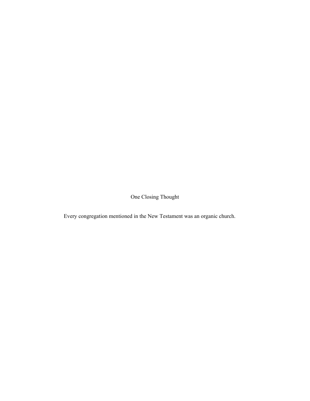One Closing Thought

Every congregation mentioned in the New Testament was an organic church.